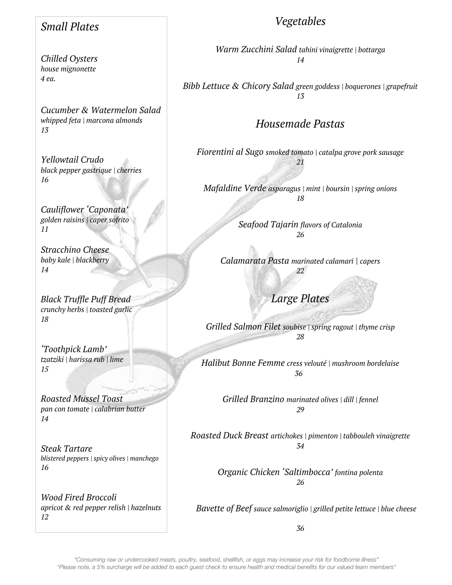## *Small Plates*

*Chilled Oysters house mignonette 4 ea.*

*Cucumber & Watermelon Salad whipped feta | marcona almonds 13*

*Yellowtail Crudo black pepper gastrique | cherries 16*

*Cauliflower 'Caponata' golden raisins | caper sofrito 11*

*Stracchino Cheese baby kale | blackberry 14*

*Black Truffle Puff Bread crunchy herbs | toasted garlic 18*

*'Toothpick Lamb' tzatziki | harissa rub | lime 15*

*Roasted Mussel Toast pan con tomate | calabrian butter 14*

*Steak Tartare blistered peppers | spicy olives | manchego 16*

*Wood Fired Broccoli apricot & red pepper relish | hazelnuts 12*

# *Vegetables*

*Warm Zucchini Salad tahini vinaigrette | bottarga 14*

*Bibb Lettuce & Chicory Salad green goddess | boquerones | grapefruit 13*

## *Housemade Pastas*

*Fiorentini al Sugo smoked tomato | catalpa grove pork sausage 21*

*Mafaldine Verde asparagus | mint | boursin | spring onions 18*

> *Seafood Tajarin flavors of Catalonia 26*

*Calamarata Pasta marinated calamari | capers 22*

*Large Plates*

*Grilled Salmon Filet soubise | spring ragout | thyme crisp 28*

*Halibut Bonne Femme cress velouté | mushroom bordelaise 36*

*Grilled Branzino marinated olives | dill | fennel 29*

*Roasted Duck Breast artichokes | pimenton | tabbouleh vinaigrette 34*

> *Organic Chicken 'Saltimbocca' fontina polenta 26*

*Bavette of Beef sauce salmoriglio | grilled petite lettuce | blue cheese* 

*36*